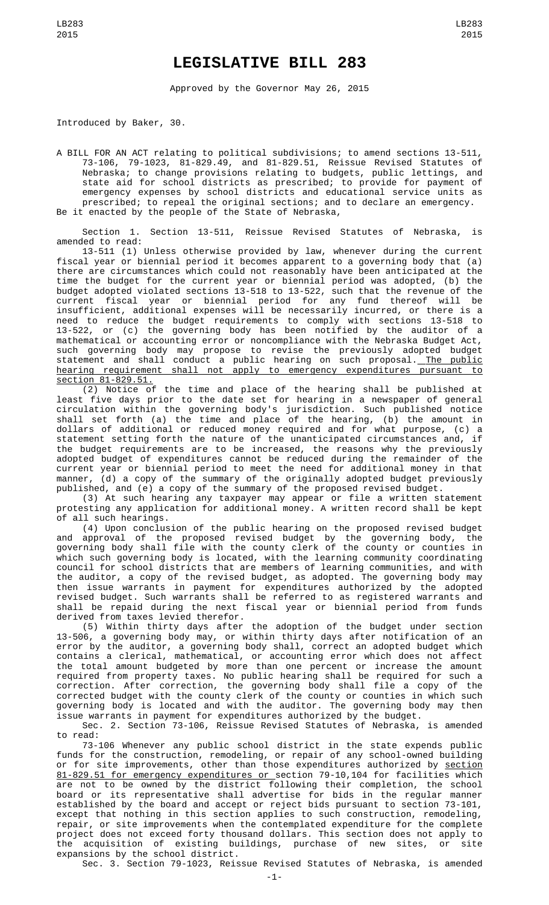## **LEGISLATIVE BILL 283**

Approved by the Governor May 26, 2015

Introduced by Baker, 30.

A BILL FOR AN ACT relating to political subdivisions; to amend sections 13-511, 73-106, 79-1023, 81-829.49, and 81-829.51, Reissue Revised Statutes of Nebraska; to change provisions relating to budgets, public lettings, and state aid for school districts as prescribed; to provide for payment of emergency expenses by school districts and educational service units as prescribed; to repeal the original sections; and to declare an emergency. Be it enacted by the people of the State of Nebraska,

Section 1. Section 13-511, Reissue Revised Statutes of Nebraska, is<br>amended to read: amended to read:

13-511 (1) Unless otherwise provided by law, whenever during the current fiscal year or biennial period it becomes apparent to a governing body that (a) there are circumstances which could not reasonably have been anticipated at the time the budget for the current year or biennial period was adopted, (b) the budget adopted violated sections 13-518 to 13-522, such that the revenue of the current fiscal year or biennial period for any fund thereof will be insufficient, additional expenses will be necessarily incurred, or there is a need to reduce the budget requirements to comply with sections 13-518 to 13-522, or (c) the governing body has been notified by the auditor of a mathematical or accounting error or noncompliance with the Nebraska Budget Act, such governing body may propose to revise the previously adopted budget statement and shall conduct a public hearing on such proposal.<u> The public</u> hearing requirement shall not apply to emergency expenditures pursuant to section 81-829.51.

(2) Notice of the time and place of the hearing shall be published at least five days prior to the date set for hearing in a newspaper of general circulation within the governing body's jurisdiction. Such published notice shall set forth (a) the time and place of the hearing, (b) the amount in dollars of additional or reduced money required and for what purpose, (c) a statement setting forth the nature of the unanticipated circumstances and, if the budget requirements are to be increased, the reasons why the previously adopted budget of expenditures cannot be reduced during the remainder of the current year or biennial period to meet the need for additional money in that manner, (d) a copy of the summary of the originally adopted budget previously published, and (e) a copy of the summary of the proposed revised budget.

(3) At such hearing any taxpayer may appear or file a written statement protesting any application for additional money. A written record shall be kept of all such hearings.

(4) Upon conclusion of the public hearing on the proposed revised budget and approval of the proposed revised budget by the governing body, the governing body shall file with the county clerk of the county or counties in which such governing body is located, with the learning community coordinating council for school districts that are members of learning communities, and with the auditor, a copy of the revised budget, as adopted. The governing body may then issue warrants in payment for expenditures authorized by the adopted revised budget. Such warrants shall be referred to as registered warrants and shall be repaid during the next fiscal year or biennial period from funds derived from taxes levied therefor.

(5) Within thirty days after the adoption of the budget under section 13-506, a governing body may, or within thirty days after notification of an error by the auditor, a governing body shall, correct an adopted budget which contains a clerical, mathematical, or accounting error which does not affect the total amount budgeted by more than one percent or increase the amount required from property taxes. No public hearing shall be required for such a correction. After correction, the governing body shall file a copy of the corrected budget with the county clerk of the county or counties in which such governing body is located and with the auditor. The governing body may then issue warrants in payment for expenditures authorized by the budget.

Sec. 2. Section 73-106, Reissue Revised Statutes of Nebraska, is amended to read:

73-106 Whenever any public school district in the state expends public funds for the construction, remodeling, or repair of any school-owned building or for site improvements, other than those expenditures authorized by <u>section</u> 81-829.51 for emergency expenditures or section 79-10,104 for facilities which are not to be owned by the district following their completion, the school board or its representative shall advertise for bids in the regular manner established by the board and accept or reject bids pursuant to section 73-101, except that nothing in this section applies to such construction, remodeling, repair, or site improvements when the contemplated expenditure for the complete project does not exceed forty thousand dollars. This section does not apply to the acquisition of existing buildings, purchase of new sites, or site expansions by the school district.

Sec. 3. Section 79-1023, Reissue Revised Statutes of Nebraska, is amended